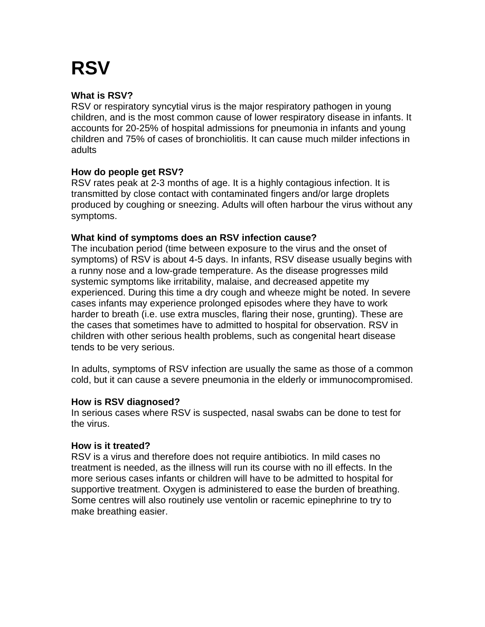# **RSV**

## **What is RSV?**

RSV or respiratory syncytial virus is the major respiratory pathogen in young children, and is the most common cause of lower respiratory disease in infants. It accounts for 20-25% of hospital admissions for pneumonia in infants and young children and 75% of cases of bronchiolitis. It can cause much milder infections in adults

## **How do people get RSV?**

RSV rates peak at 2-3 months of age. It is a highly contagious infection. It is transmitted by close contact with contaminated fingers and/or large droplets produced by coughing or sneezing. Adults will often harbour the virus without any symptoms.

## **What kind of symptoms does an RSV infection cause?**

The incubation period (time between exposure to the virus and the onset of symptoms) of RSV is about 4-5 days. In infants, RSV disease usually begins with a runny nose and a low-grade temperature. As the disease progresses mild systemic symptoms like irritability, malaise, and decreased appetite my experienced. During this time a dry cough and wheeze might be noted. In severe cases infants may experience prolonged episodes where they have to work harder to breath (i.e. use extra muscles, flaring their nose, grunting). These are the cases that sometimes have to admitted to hospital for observation. RSV in children with other serious health problems, such as congenital heart disease tends to be very serious.

In adults, symptoms of RSV infection are usually the same as those of a common cold, but it can cause a severe pneumonia in the elderly or immunocompromised.

#### **How is RSV diagnosed?**

In serious cases where RSV is suspected, nasal swabs can be done to test for the virus.

#### **How is it treated?**

RSV is a virus and therefore does not require antibiotics. In mild cases no treatment is needed, as the illness will run its course with no ill effects. In the more serious cases infants or children will have to be admitted to hospital for supportive treatment. Oxygen is administered to ease the burden of breathing. Some centres will also routinely use ventolin or racemic epinephrine to try to make breathing easier.